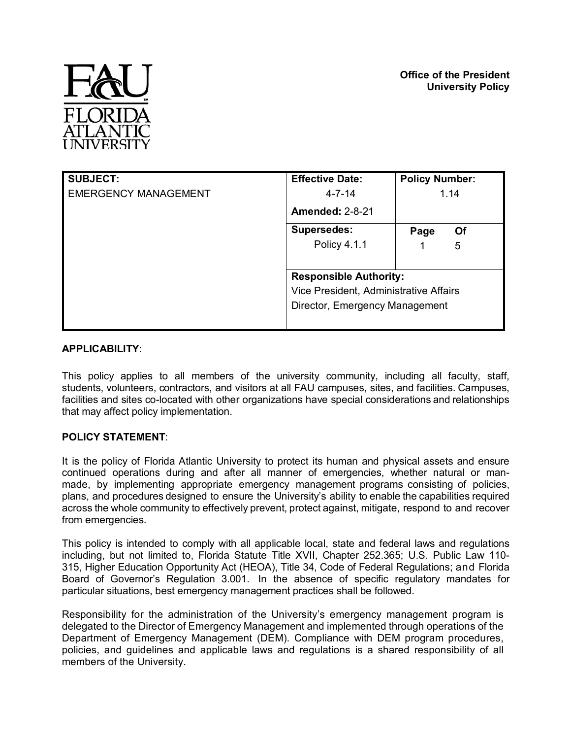

| <b>SUBJECT:</b>             | <b>Effective Date:</b>                 | <b>Policy Number:</b> |
|-----------------------------|----------------------------------------|-----------------------|
| <b>EMERGENCY MANAGEMENT</b> | $4 - 7 - 14$                           | 1.14                  |
|                             | <b>Amended: 2-8-21</b>                 |                       |
|                             | <b>Supersedes:</b>                     | <b>Of</b><br>Page     |
|                             | Policy 4.1.1                           | 5                     |
|                             |                                        |                       |
|                             | <b>Responsible Authority:</b>          |                       |
|                             | Vice President, Administrative Affairs |                       |
|                             | Director, Emergency Management         |                       |
|                             |                                        |                       |

# **APPLICABILITY**:

This policy applies to all members of the university community, including all faculty, staff, students, volunteers, contractors, and visitors at all FAU campuses, sites, and facilities. Campuses, facilities and sites co-located with other organizations have special considerations and relationships that may affect policy implementation.

# **POLICY STATEMENT**:

It is the policy of Florida Atlantic University to protect its human and physical assets and ensure continued operations during and after all manner of emergencies, whether natural or manmade, by implementing appropriate emergency management programs consisting of policies, plans, and procedures designed to ensure the University's ability to enable the capabilities required across the whole community to effectively prevent, protect against, mitigate, respond to and recover from emergencies.

This policy is intended to comply with all applicable local, state and federal laws and regulations including, but not limited to, Florida Statute Title XVII, Chapter 252.365; U.S. Public Law 110- 315, Higher Education Opportunity Act (HEOA), Title 34, Code of Federal Regulations; and Florida Board of Governor's Regulation 3.001. In the absence of specific regulatory mandates for particular situations, best emergency management practices shall be followed.

Responsibility for the administration of the University's emergency management program is delegated to the Director of Emergency Management and implemented through operations of the Department of Emergency Management (DEM). Compliance with DEM program procedures, policies, and guidelines and applicable laws and regulations is a shared responsibility of all members of the University.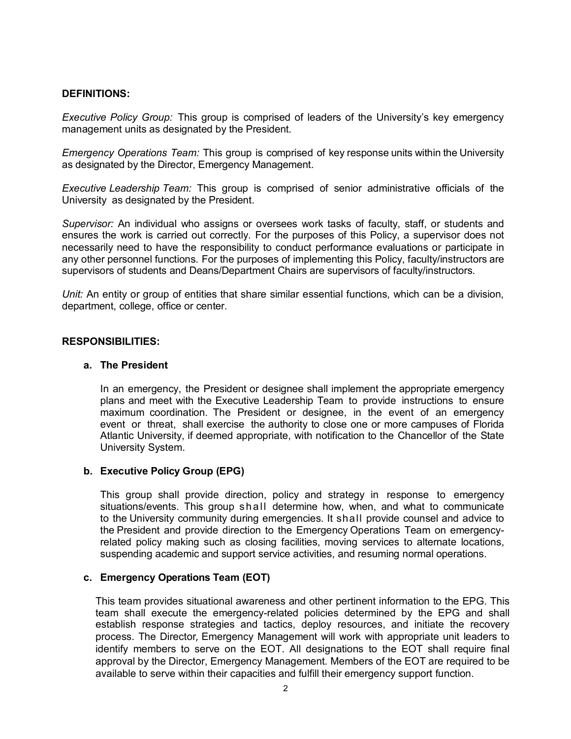## **DEFINITIONS:**

*Executive Policy Group:* This group is comprised of leaders of the University's key emergency management units as designated by the President.

*Emergency Operations Team:* This group is comprised of key response units within the University as designated by the Director, Emergency Management.

*Executive Leadership Team:* This group is comprised of senior administrative officials of the University as designated by the President.

*Supervisor:* An individual who assigns or oversees work tasks of faculty, staff, or students and ensures the work is carried out correctly. For the purposes of this Policy, a supervisor does not necessarily need to have the responsibility to conduct performance evaluations or participate in any other personnel functions. For the purposes of implementing this Policy, faculty/instructors are supervisors of students and Deans/Department Chairs are supervisors of faculty/instructors.

*Unit:* An entity or group of entities that share similar essential functions, which can be a division, department, college, office or center.

#### **RESPONSIBILITIES:**

#### **a. The President**

In an emergency, the President or designee shall implement the appropriate emergency plans and meet with the Executive Leadership Team to provide instructions to ensure maximum coordination. The President or designee, in the event of an emergency event or threat, shall exercise the authority to close one or more campuses of Florida Atlantic University, if deemed appropriate, with notification to the Chancellor of the State University System.

#### **b. Executive Policy Group (EPG)**

This group shall provide direction, policy and strategy in response to emergency situations/events. This group shall determine how, when, and what to communicate to the University community during emergencies. It shall provide counsel and advice to the President and provide direction to the Emergency Operations Team on emergencyrelated policy making such as closing facilities, moving services to alternate locations, suspending academic and support service activities, and resuming normal operations.

## **c. Emergency Operations Team (EOT)**

This team provides situational awareness and other pertinent information to the EPG. This team shall execute the emergency-related policies determined by the EPG and shall establish response strategies and tactics, deploy resources, and initiate the recovery process. The Director, Emergency Management will work with appropriate unit leaders to identify members to serve on the EOT. All designations to the EOT shall require final approval by the Director, Emergency Management. Members of the EOT are required to be available to serve within their capacities and fulfill their emergency support function.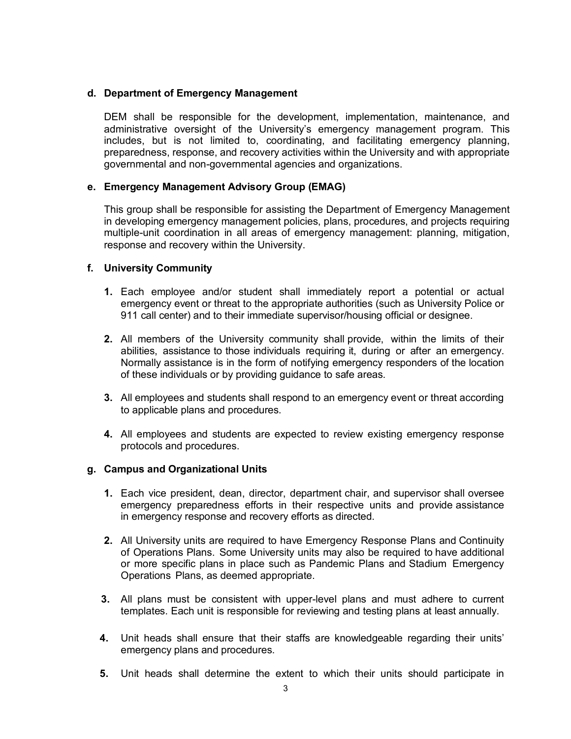## **d. Department of Emergency Management**

DEM shall be responsible for the development, implementation, maintenance, and administrative oversight of the University's emergency management program. This includes, but is not limited to, coordinating, and facilitating emergency planning, preparedness, response, and recovery activities within the University and with appropriate governmental and non-governmental agencies and organizations.

# **e. Emergency Management Advisory Group (EMAG)**

This group shall be responsible for assisting the Department of Emergency Management in developing emergency management policies, plans, procedures, and projects requiring multiple-unit coordination in all areas of emergency management: planning, mitigation, response and recovery within the University.

## **f. University Community**

- **1.** Each employee and/or student shall immediately report a potential or actual emergency event or threat to the appropriate authorities (such as University Police or 911 call center) and to their immediate supervisor/housing official or designee.
- **2.** All members of the University community shall provide, within the limits of their abilities, assistance to those individuals requiring it, during or after an emergency. Normally assistance is in the form of notifying emergency responders of the location of these individuals or by providing guidance to safe areas.
- **3.** All employees and students shall respond to an emergency event or threat according to applicable plans and procedures.
- **4.** All employees and students are expected to review existing emergency response protocols and procedures.

#### **g. Campus and Organizational Units**

- **1.** Each vice president, dean, director, department chair, and supervisor shall oversee emergency preparedness efforts in their respective units and provide assistance in emergency response and recovery efforts as directed.
- **2.** All University units are required to have Emergency Response Plans and Continuity of Operations Plans. Some University units may also be required to have additional or more specific plans in place such as Pandemic Plans and Stadium Emergency Operations Plans, as deemed appropriate.
- **3.** All plans must be consistent with upper-level plans and must adhere to current templates. Each unit is responsible for reviewing and testing plans at least annually.
- **4.** Unit heads shall ensure that their staffs are knowledgeable regarding their units' emergency plans and procedures.
- **5.** Unit heads shall determine the extent to which their units should participate in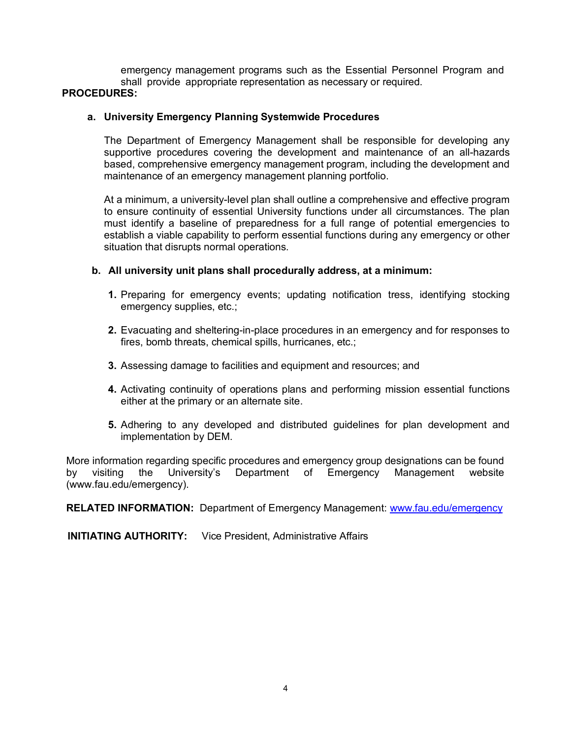emergency management programs such as the Essential Personnel Program and shall provide appropriate representation as necessary or required. **PROCEDURES:**

## **a. University Emergency Planning Systemwide Procedures**

The Department of Emergency Management shall be responsible for developing any supportive procedures covering the development and maintenance of an all-hazards based, comprehensive emergency management program, including the development and maintenance of an emergency management planning portfolio.

At a minimum, a university-level plan shall outline a comprehensive and effective program to ensure continuity of essential University functions under all circumstances. The plan must identify a baseline of preparedness for a full range of potential emergencies to establish a viable capability to perform essential functions during any emergency or other situation that disrupts normal operations.

## **b. All university unit plans shall procedurally address, at a minimum:**

- **1.** Preparing for emergency events; updating notification tress, identifying stocking emergency supplies, etc.;
- **2.** Evacuating and sheltering-in-place procedures in an emergency and for responses to fires, bomb threats, chemical spills, hurricanes, etc.;
- **3.** Assessing damage to facilities and equipment and resources; and
- **4.** Activating continuity of operations plans and performing mission essential functions either at the primary or an alternate site.
- **5.** Adhering to any developed and distributed guidelines for plan development and implementation by DEM.

More information regarding specific procedures and emergency group designations can be found by visiting the University's Department of Emergency Management website (www.fau.edu/emergency).

**RELATED INFORMATION:** Department of Emergency Management: www.fau.edu/emergency

**INITIATING AUTHORITY:** Vice President, Administrative Affairs